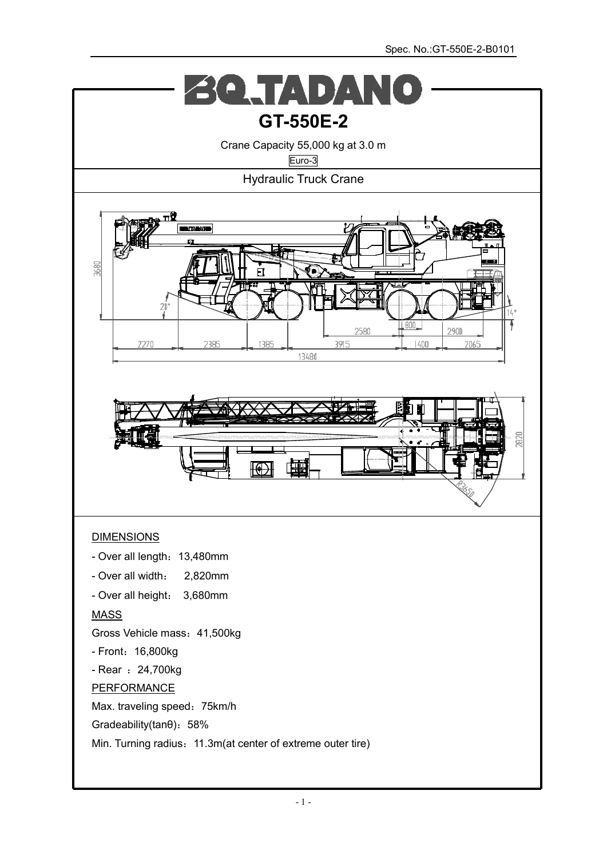$\triangle$   $($   $\triangle$   $\triangle$   $\triangle$   $\triangle$   $\triangle$  $\begin{array}{c} \begin{array}{c} \curvearrowleft \end{array} \end{array}$ **GT-550E-2**  Crane Capacity 55,000 kg at 3.0 m Euro-3 Hydraulic Truck Crane  $\overline{\mathbf{u}}$ 3680 l e **DAN** 1385 3915  $7270$ 2385  $40f$ 2065 13480 也 Ð DIMENSIONS - Over all length: 13,480mm - Over all width: 2,820mm - Over all height: 3,680mm MASS Gross Vehicle mass:41,500kg - Front: 16,800kg - Rear : 24,700kg PERFORMANCE Max. traveling speed: 75km/h Gradeability(tanθ):58% Min. Turning radius: 11.3m(at center of extreme outer tire)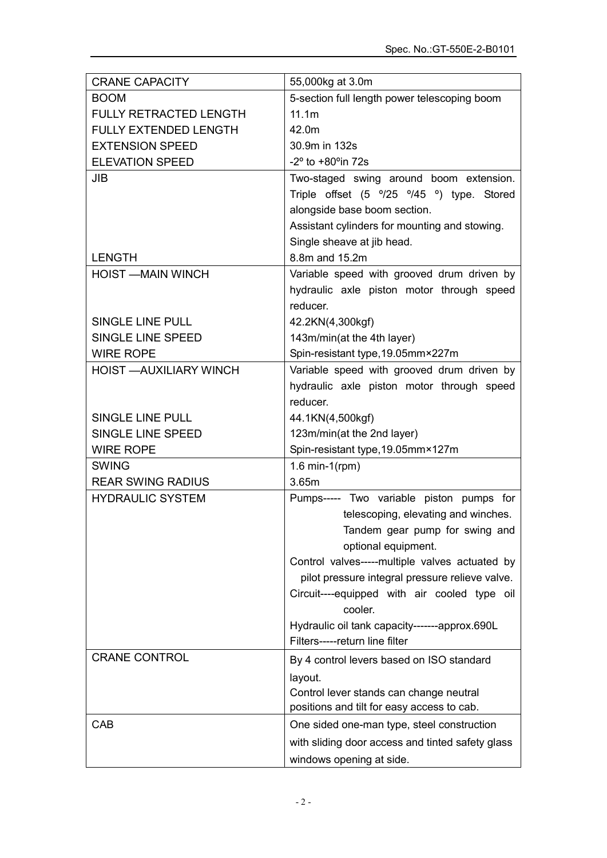| <b>CRANE CAPACITY</b>          | 55,000kg at 3.0m                                        |
|--------------------------------|---------------------------------------------------------|
| <b>BOOM</b>                    | 5-section full length power telescoping boom            |
| <b>FULLY RETRACTED LENGTH</b>  | 11.1m                                                   |
| <b>FULLY EXTENDED LENGTH</b>   | 42.0m                                                   |
| <b>EXTENSION SPEED</b>         | 30.9m in 132s                                           |
| <b>ELEVATION SPEED</b>         | $-2^{\circ}$ to $+80^{\circ}$ in 72s                    |
| JIB                            | Two-staged swing around boom extension.                 |
|                                | Triple offset (5 °/25 °/45 °) type. Stored              |
|                                | alongside base boom section.                            |
|                                | Assistant cylinders for mounting and stowing.           |
|                                | Single sheave at jib head.                              |
| <b>LENGTH</b>                  | 8.8m and 15.2m                                          |
| <b>HOIST -MAIN WINCH</b>       | Variable speed with grooved drum driven by              |
|                                | hydraulic axle piston motor through speed               |
|                                | reducer.                                                |
| <b>SINGLE LINE PULL</b>        | 42.2KN(4,300kgf)                                        |
| SINGLE LINE SPEED              | 143m/min(at the 4th layer)                              |
| <b>WIRE ROPE</b>               | Spin-resistant type, 19.05mm×227m                       |
| <b>HOIST - AUXILIARY WINCH</b> | Variable speed with grooved drum driven by              |
|                                | hydraulic axle piston motor through speed               |
|                                | reducer.                                                |
| <b>SINGLE LINE PULL</b>        | 44.1KN(4,500kgf)                                        |
| SINGLE LINE SPEED              | 123m/min(at the 2nd layer)                              |
| <b>WIRE ROPE</b>               | Spin-resistant type, 19.05mm×127m                       |
| <b>SWING</b>                   | 1.6 min-1( $rpm)$ )                                     |
| <b>REAR SWING RADIUS</b>       | 3.65m                                                   |
| <b>HYDRAULIC SYSTEM</b>        | Pumps----- Two variable piston pumps for                |
|                                | telescoping, elevating and winches.                     |
|                                | Tandem gear pump for swing and                          |
|                                | optional equipment.                                     |
|                                | Control valves-----multiple valves actuated by          |
|                                | pilot pressure integral pressure relieve valve.         |
|                                | Circuit----equipped with air cooled type oil<br>cooler. |
|                                | Hydraulic oil tank capacity-------approx.690L           |
|                                | Filters-----return line filter                          |
| <b>CRANE CONTROL</b>           | By 4 control levers based on ISO standard               |
|                                | layout.                                                 |
|                                | Control lever stands can change neutral                 |
|                                | positions and tilt for easy access to cab.              |
| CAB                            | One sided one-man type, steel construction              |
|                                | with sliding door access and tinted safety glass        |
|                                | windows opening at side.                                |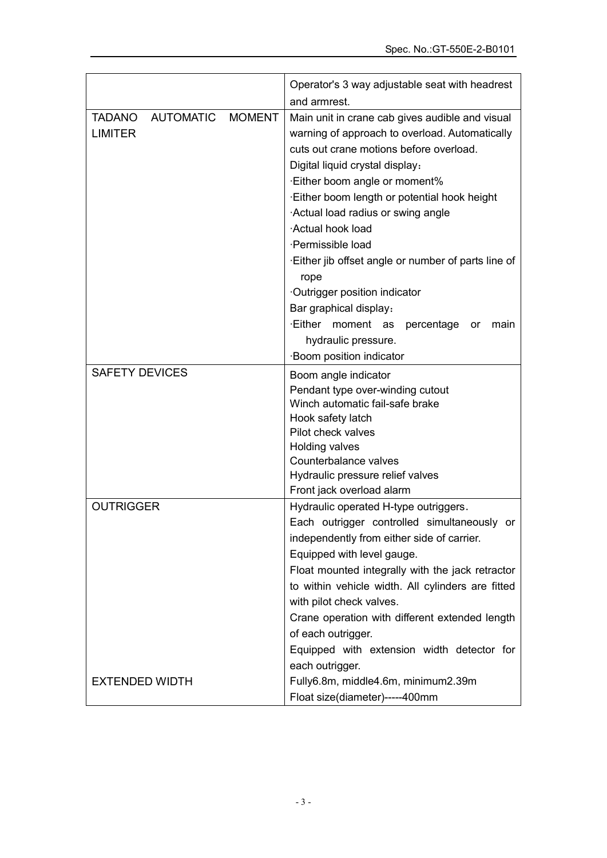|                                                     |               | Operator's 3 way adjustable seat with headrest                                                                                                                                                                                                                                                                                                                                                                                                                                                                                                                         |  |  |  |  |
|-----------------------------------------------------|---------------|------------------------------------------------------------------------------------------------------------------------------------------------------------------------------------------------------------------------------------------------------------------------------------------------------------------------------------------------------------------------------------------------------------------------------------------------------------------------------------------------------------------------------------------------------------------------|--|--|--|--|
|                                                     |               | and armrest.                                                                                                                                                                                                                                                                                                                                                                                                                                                                                                                                                           |  |  |  |  |
| <b>AUTOMATIC</b><br><b>TADANO</b><br><b>LIMITER</b> | <b>MOMENT</b> | Main unit in crane cab gives audible and visual<br>warning of approach to overload. Automatically<br>cuts out crane motions before overload.<br>Digital liquid crystal display:<br>Either boom angle or moment%<br>Either boom length or potential hook height<br>Actual load radius or swing angle<br>Actual hook load<br>·Permissible load<br>Either jib offset angle or number of parts line of<br>rope<br>Outrigger position indicator<br>Bar graphical display:<br>Either moment as<br>percentage<br>main<br>or<br>hydraulic pressure.<br>Boom position indicator |  |  |  |  |
| <b>SAFETY DEVICES</b>                               |               | Boom angle indicator<br>Pendant type over-winding cutout<br>Winch automatic fail-safe brake<br>Hook safety latch<br>Pilot check valves<br>Holding valves<br>Counterbalance valves<br>Hydraulic pressure relief valves<br>Front jack overload alarm                                                                                                                                                                                                                                                                                                                     |  |  |  |  |
| <b>OUTRIGGER</b>                                    |               | Hydraulic operated H-type outriggers.<br>Each outrigger controlled simultaneously or<br>independently from either side of carrier.<br>Equipped with level gauge.<br>Float mounted integrally with the jack retractor<br>to within vehicle width. All cylinders are fitted<br>with pilot check valves.<br>Crane operation with different extended length<br>of each outrigger.<br>Equipped with extension width detector for<br>each outrigger.                                                                                                                         |  |  |  |  |
| <b>EXTENDED WIDTH</b>                               |               | Fully6.8m, middle4.6m, minimum2.39m<br>Float size(diameter)-----400mm                                                                                                                                                                                                                                                                                                                                                                                                                                                                                                  |  |  |  |  |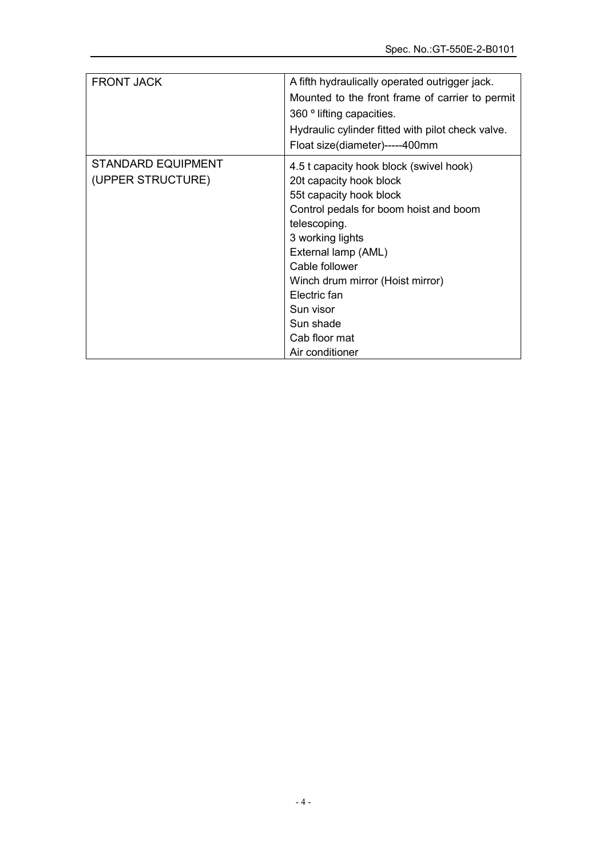| <b>FRONT JACK</b>                              | A fifth hydraulically operated outrigger jack.<br>Mounted to the front frame of carrier to permit<br>360 ° lifting capacities.<br>Hydraulic cylinder fitted with pilot check valve.<br>Float size(diameter)-----400mm                                                                                                                  |
|------------------------------------------------|----------------------------------------------------------------------------------------------------------------------------------------------------------------------------------------------------------------------------------------------------------------------------------------------------------------------------------------|
| <b>STANDARD EQUIPMENT</b><br>(UPPER STRUCTURE) | 4.5 t capacity hook block (swivel hook)<br>20t capacity hook block<br>55t capacity hook block<br>Control pedals for boom hoist and boom<br>telescoping.<br>3 working lights<br>External lamp (AML)<br>Cable follower<br>Winch drum mirror (Hoist mirror)<br>Electric fan<br>Sun visor<br>Sun shade<br>Cab floor mat<br>Air conditioner |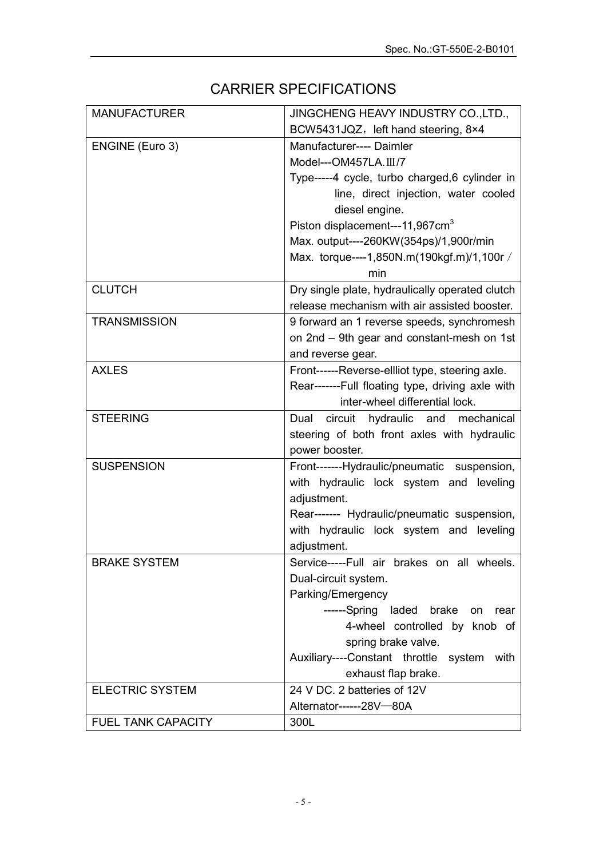# CARRIER SPECIFICATIONS

| <b>MANUFACTURER</b>       | JINGCHENG HEAVY INDUSTRY CO., LTD.,                                                    |
|---------------------------|----------------------------------------------------------------------------------------|
|                           | BCW5431JQZ, left hand steering, 8×4                                                    |
| ENGINE (Euro 3)           | Manufacturer---- Daimler                                                               |
|                           | Model---OM457LA.III/7                                                                  |
|                           | Type-----4 cycle, turbo charged, 6 cylinder in                                         |
|                           | line, direct injection, water cooled                                                   |
|                           | diesel engine.                                                                         |
|                           | Piston displacement---11,967cm <sup>3</sup>                                            |
|                           | Max. output----260KW(354ps)/1,900r/min                                                 |
|                           | Max. torque----1,850N.m(190kgf.m)/1,100r /                                             |
|                           | min                                                                                    |
| <b>CLUTCH</b>             | Dry single plate, hydraulically operated clutch                                        |
|                           | release mechanism with air assisted booster.                                           |
| <b>TRANSMISSION</b>       | 9 forward an 1 reverse speeds, synchromesh                                             |
|                           | on 2nd - 9th gear and constant-mesh on 1st                                             |
|                           | and reverse gear.                                                                      |
| <b>AXLES</b>              | Front------Reverse-ellliot type, steering axle.                                        |
|                           | Rear-------Full floating type, driving axle with                                       |
|                           | inter-wheel differential lock.                                                         |
| <b>STEERING</b>           | Dual circuit hydraulic and mechanical                                                  |
|                           | steering of both front axles with hydraulic                                            |
|                           | power booster.                                                                         |
| <b>SUSPENSION</b>         | Front-------Hydraulic/pneumatic suspension,                                            |
|                           | with hydraulic lock system and leveling                                                |
|                           | adjustment.                                                                            |
|                           |                                                                                        |
|                           | Rear------- Hydraulic/pneumatic suspension,<br>with hydraulic lock system and leveling |
|                           | adjustment.                                                                            |
| <b>BRAKE SYSTEM</b>       | Service-----Full air brakes on all wheels.                                             |
|                           |                                                                                        |
|                           | Dual-circuit system.<br>Parking/Emergency                                              |
|                           | ------Spring laded brake                                                               |
|                           | rear<br>on<br>4-wheel controlled by knob of                                            |
|                           | spring brake valve.                                                                    |
|                           |                                                                                        |
|                           | Auxiliary----Constant throttle<br>system<br>with                                       |
|                           | exhaust flap brake.<br>24 V DC. 2 batteries of 12V                                     |
| <b>ELECTRIC SYSTEM</b>    |                                                                                        |
|                           | Alternator------28V-80A                                                                |
| <b>FUEL TANK CAPACITY</b> | 300L                                                                                   |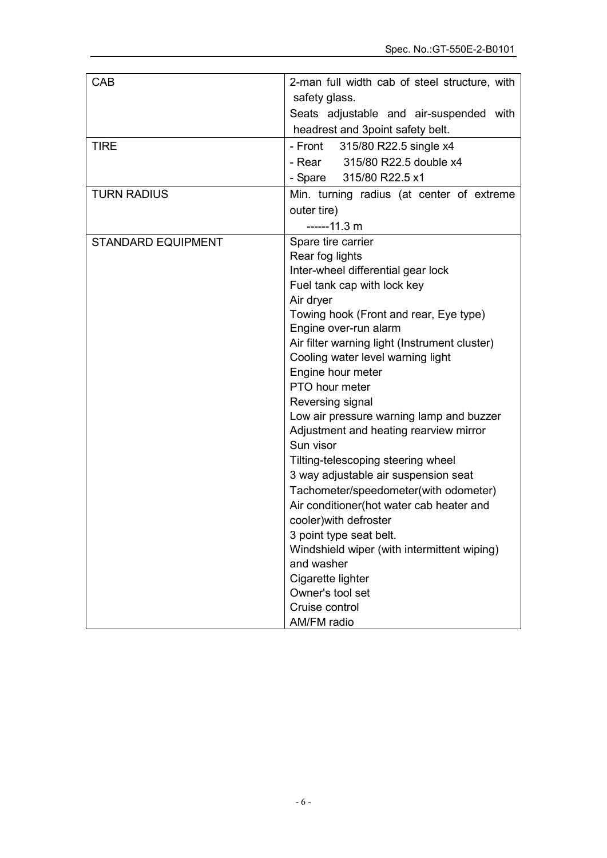| CAB                       | 2-man full width cab of steel structure, with       |
|---------------------------|-----------------------------------------------------|
|                           | safety glass.                                       |
|                           | Seats adjustable and air-suspended with             |
|                           | headrest and 3point safety belt.                    |
| <b>TIRE</b>               | - Front 315/80 R22.5 single x4                      |
|                           | - Rear 315/80 R22.5 double x4                       |
|                           | - Spare 315/80 R22.5 x1                             |
| <b>TURN RADIUS</b>        | Min. turning radius (at center of extreme           |
|                           | outer tire)                                         |
|                           | $---11.3 m$                                         |
| <b>STANDARD EQUIPMENT</b> | Spare tire carrier                                  |
|                           | Rear fog lights                                     |
|                           | Inter-wheel differential gear lock                  |
|                           | Fuel tank cap with lock key                         |
|                           | Air dryer                                           |
|                           | Towing hook (Front and rear, Eye type)              |
|                           | Engine over-run alarm                               |
|                           | Air filter warning light (Instrument cluster)       |
|                           | Cooling water level warning light                   |
|                           | Engine hour meter                                   |
|                           | PTO hour meter                                      |
|                           | Reversing signal                                    |
|                           | Low air pressure warning lamp and buzzer            |
|                           | Adjustment and heating rearview mirror<br>Sun visor |
|                           | Tilting-telescoping steering wheel                  |
|                           | 3 way adjustable air suspension seat                |
|                           | Tachometer/speedometer(with odometer)               |
|                           | Air conditioner(hot water cab heater and            |
|                           | cooler) with defroster                              |
|                           | 3 point type seat belt.                             |
|                           | Windshield wiper (with intermittent wiping)         |
|                           | and washer                                          |
|                           | Cigarette lighter                                   |
|                           | Owner's tool set                                    |
|                           | Cruise control                                      |
|                           | AM/FM radio                                         |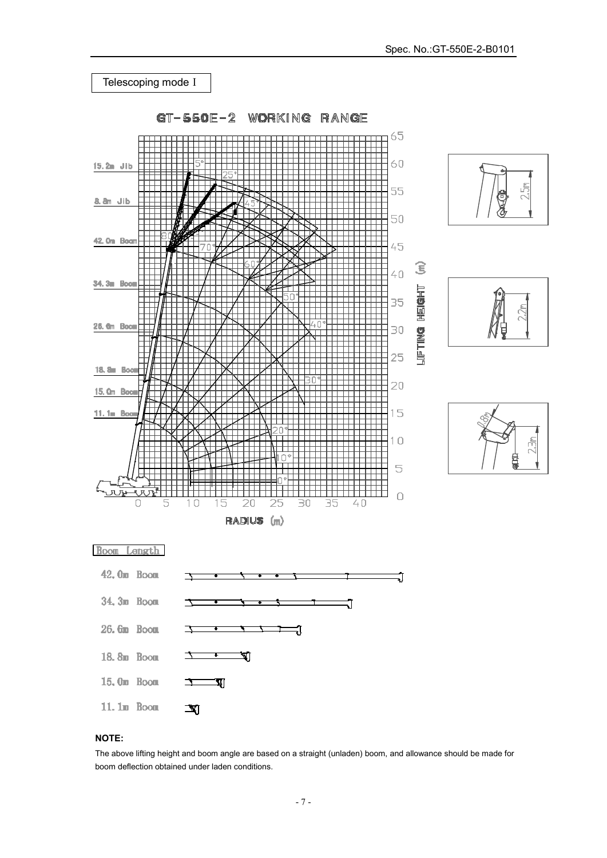

### **NOTE:**

The above lifting height and boom angle are based on a straight (unladen) boom, and allowance should be made for boom deflection obtained under laden conditions.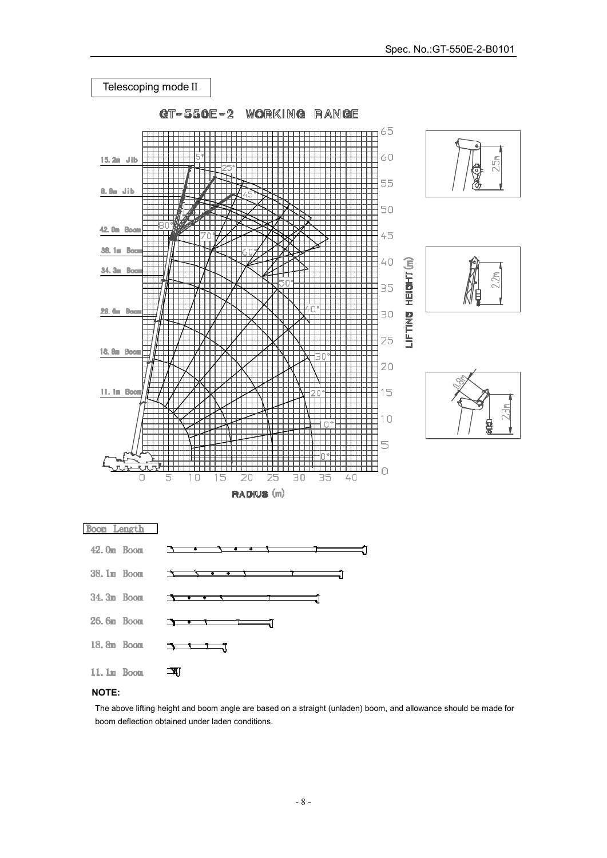

# **NOTE:**

The above lifting height and boom angle are based on a straight (unladen) boom, and allowance should be made for boom deflection obtained under laden conditions.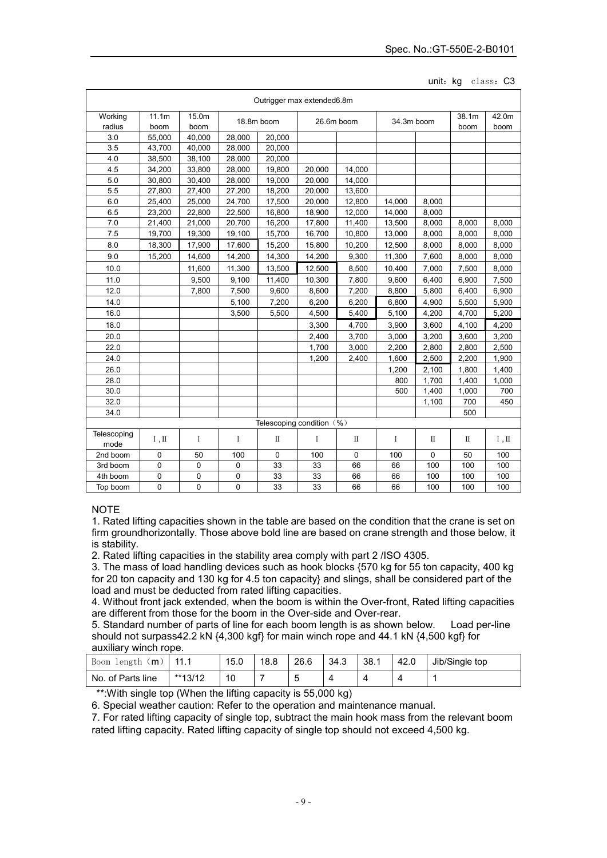#### unit: kg class: C3

| Outrigger max extended6.8m |                             |               |            |             |            |        |            |       |               |               |
|----------------------------|-----------------------------|---------------|------------|-------------|------------|--------|------------|-------|---------------|---------------|
| Working<br>radius          | 11.1m<br>boom               | 15.0m<br>boom | 18.8m boom |             | 26.6m boom |        | 34.3m boom |       | 38.1m<br>boom | 42.0m<br>boom |
| 3.0                        | 55,000                      | 40,000        | 28,000     | 20,000      |            |        |            |       |               |               |
| 3.5                        | 43,700                      | 40,000        | 28,000     | 20,000      |            |        |            |       |               |               |
| 4.0                        | 38,500                      | 38,100        | 28.000     | 20,000      |            |        |            |       |               |               |
| 4.5                        | 34,200                      | 33,800        | 28,000     | 19,800      | 20,000     | 14,000 |            |       |               |               |
| 5.0                        | 30.800                      | 30.400        | 28,000     | 19,000      | 20.000     | 14.000 |            |       |               |               |
| 5.5                        | 27,800                      | 27,400        | 27,200     | 18,200      | 20,000     | 13,600 |            |       |               |               |
| 6.0                        | 25,400                      | 25,000        | 24,700     | 17,500      | 20,000     | 12.800 | 14,000     | 8,000 |               |               |
| 6.5                        | 23,200                      | 22,800        | 22,500     | 16,800      | 18,900     | 12,000 | 14,000     | 8,000 |               |               |
| 7.0                        | 21,400                      | 21,000        | 20,700     | 16,200      | 17,800     | 11,400 | 13,500     | 8,000 | 8,000         | 8,000         |
| 7.5                        | 19.700                      | 19.300        | 19.100     | 15,700      | 16,700     | 10,800 | 13,000     | 8,000 | 8,000         | 8,000         |
| 8.0                        | 18,300                      | 17,900        | 17,600     | 15,200      | 15,800     | 10,200 | 12,500     | 8,000 | 8,000         | 8,000         |
| 9.0                        | 15,200                      | 14,600        | 14,200     | 14,300      | 14,200     | 9,300  | 11,300     | 7,600 | 8,000         | 8,000         |
| 10.0                       |                             | 11,600        | 11,300     | 13,500      | 12,500     | 8,500  | 10,400     | 7,000 | 7,500         | 8,000         |
| 11.0                       |                             | 9,500         | 9,100      | 11,400      | 10,300     | 7,800  | 9,600      | 6,400 | 6,900         | 7,500         |
| 12.0                       |                             | 7.800         | 7,500      | 9,600       | 8,600      | 7,200  | 8,800      | 5,800 | 6,400         | 6,900         |
| 14.0                       |                             |               | 5,100      | 7,200       | 6,200      | 6,200  | 6,800      | 4,900 | 5,500         | 5,900         |
| 16.0                       |                             |               | 3,500      | 5,500       | 4,500      | 5,400  | 5,100      | 4,200 | 4,700         | 5,200         |
| 18.0                       |                             |               |            |             | 3,300      | 4,700  | 3,900      | 3,600 | 4,100         | 4,200         |
| 20.0                       |                             |               |            |             | 2,400      | 3,700  | 3,000      | 3,200 | 3,600         | 3,200         |
| 22.0                       |                             |               |            |             | 1,700      | 3,000  | 2.200      | 2,800 | 2,800         | 2,500         |
| 24.0                       |                             |               |            |             | 1,200      | 2,400  | 1,600      | 2,500 | 2,200         | 1,900         |
| 26.0                       |                             |               |            |             |            |        | 1,200      | 2,100 | 1,800         | 1,400         |
| 28.0                       |                             |               |            |             |            |        | 800        | 1.700 | 1.400         | 1.000         |
| 30.0                       |                             |               |            |             |            |        | 500        | 1,400 | 1,000         | 700           |
| 32.0                       |                             |               |            |             |            |        |            | 1,100 | 700           | 450           |
| 34.0                       |                             |               |            |             |            |        |            |       | 500           |               |
|                            | Telescoping condition (%)   |               |            |             |            |        |            |       |               |               |
| Telescoping<br>mode        | $\mathbb{I}$ , $\mathbb{I}$ | I             | I          | Π           | I          | П      | I          | Π     | П             | I, II         |
| 2nd boom                   | 0                           | 50            | 100        | $\mathbf 0$ | 100        | 0      | 100        | 0     | 50            | 100           |
| 3rd boom                   | 0                           | 0             | 0          | 33          | 33         | 66     | 66         | 100   | 100           | 100           |
| 4th boom                   | 0                           | 0             | 0          | 33          | 33         | 66     | 66         | 100   | 100           | 100           |
| Top boom                   | 0                           | 0             | 0          | 33          | 33         | 66     | 66         | 100   | 100           | 100           |

## NOTE

1. Rated lifting capacities shown in the table are based on the condition that the crane is set on firm groundhorizontally. Those above bold line are based on crane strength and those below, it is stability.

2. Rated lifting capacities in the stability area comply with part 2 /ISO 4305.

3. The mass of load handling devices such as hook blocks {570 kg for 55 ton capacity, 400 kg for 20 ton capacity and 130 kg for 4.5 ton capacity} and slings, shall be considered part of the load and must be deducted from rated lifting capacities.

4. Without front jack extended, when the boom is within the Over-front, Rated lifting capacities are different from those for the boom in the Over-side and Over-rear.

5. Standard number of parts of line for each boom length is as shown below. Load per-line should not surpass42.2 kN {4,300 kgf} for main winch rope and 44.1 kN {4,500 kgf} for auxiliary winch rope.

| 〔m〕<br>length<br>Boom | 11 1    | 15.0 | 18.8 | 26.6 | 34.3 | 38.1 | 42.0 | Jib/Single top |
|-----------------------|---------|------|------|------|------|------|------|----------------|
| No. of Parts line     | **13/12 | 10   |      | ັ    |      |      |      |                |

\*\*:With single top (When the lifting capacity is 55,000 kg)

6. Special weather caution: Refer to the operation and maintenance manual.

7. For rated lifting capacity of single top, subtract the main hook mass from the relevant boom rated lifting capacity. Rated lifting capacity of single top should not exceed 4,500 kg.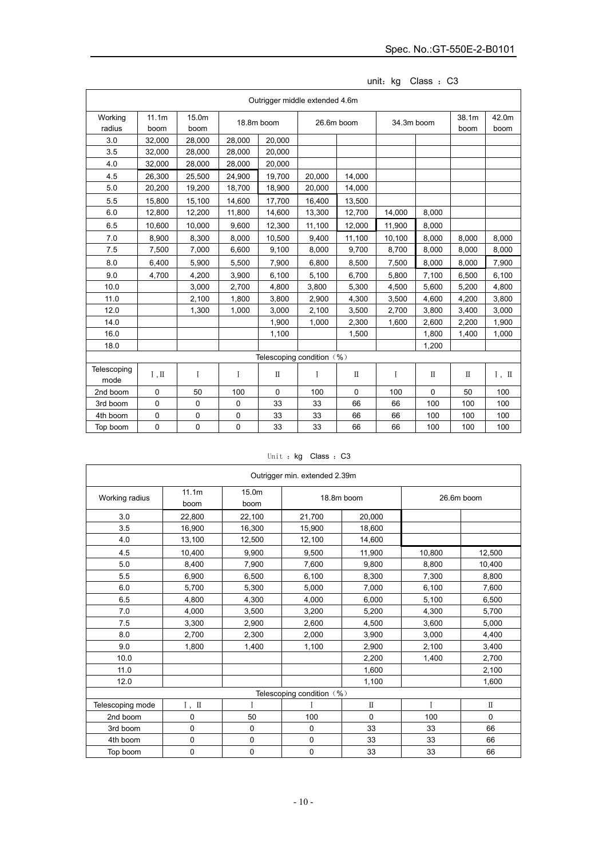|                     | Outrigger middle extended 4.6m |             |             |                           |            |          |            |          |       |       |
|---------------------|--------------------------------|-------------|-------------|---------------------------|------------|----------|------------|----------|-------|-------|
| Working             | 11.1m                          | 15.0m       | 18.8m boom  |                           | 26.6m boom |          | 34.3m boom |          | 38.1m | 42.0m |
| radius              | boom                           | boom        |             |                           |            |          |            |          | boom  | boom  |
| 3.0                 | 32,000                         | 28,000      | 28,000      | 20,000                    |            |          |            |          |       |       |
| 3.5                 | 32,000                         | 28,000      | 28.000      | 20.000                    |            |          |            |          |       |       |
| 4.0                 | 32,000                         | 28,000      | 28,000      | 20,000                    |            |          |            |          |       |       |
| 4.5                 | 26,300                         | 25,500      | 24,900      | 19.700                    | 20.000     | 14.000   |            |          |       |       |
| 5.0                 | 20,200                         | 19,200      | 18,700      | 18,900                    | 20,000     | 14,000   |            |          |       |       |
| 5.5                 | 15.800                         | 15,100      | 14.600      | 17,700                    | 16,400     | 13,500   |            |          |       |       |
| 6.0                 | 12,800                         | 12,200      | 11,800      | 14,600                    | 13,300     | 12,700   | 14,000     | 8,000    |       |       |
| 6.5                 | 10,600                         | 10,000      | 9,600       | 12,300                    | 11,100     | 12,000   | 11,900     | 8,000    |       |       |
| 7.0                 | 8,900                          | 8,300       | 8,000       | 10,500                    | 9,400      | 11,100   | 10,100     | 8,000    | 8,000 | 8,000 |
| 7.5                 | 7,500                          | 7,000       | 6,600       | 9,100                     | 8,000      | 9,700    | 8,700      | 8,000    | 8,000 | 8,000 |
| 8.0                 | 6,400                          | 5,900       | 5,500       | 7,900                     | 6,800      | 8,500    | 7,500      | 8,000    | 8,000 | 7,900 |
| 9.0                 | 4,700                          | 4,200       | 3,900       | 6,100                     | 5,100      | 6,700    | 5.800      | 7,100    | 6,500 | 6,100 |
| 10.0                |                                | 3,000       | 2,700       | 4,800                     | 3,800      | 5,300    | 4,500      | 5,600    | 5,200 | 4,800 |
| 11.0                |                                | 2,100       | 1.800       | 3,800                     | 2,900      | 4,300    | 3,500      | 4,600    | 4,200 | 3,800 |
| 12.0                |                                | 1,300       | 1,000       | 3,000                     | 2,100      | 3,500    | 2,700      | 3,800    | 3,400 | 3,000 |
| 14.0                |                                |             |             | 1,900                     | 1,000      | 2,300    | 1,600      | 2,600    | 2,200 | 1,900 |
| 16.0                |                                |             |             | 1,100                     |            | 1,500    |            | 1,800    | 1,400 | 1,000 |
| 18.0                |                                |             |             |                           |            |          |            | 1,200    |       |       |
|                     |                                |             |             | Telescoping condition (%) |            |          |            |          |       |       |
| Telescoping<br>mode | $\mathbb{I}$ , $\mathbb{I}$    | I           | I           | $\mathbb{I}$              | I          | $\rm II$ | I          | $\rm II$ | П     | I, II |
| 2nd boom            | $\mathbf 0$                    | 50          | 100         | 0                         | 100        | 0        | 100        | 0        | 50    | 100   |
| 3rd boom            | $\mathbf 0$                    | 0           | 0           | 33                        | 33         | 66       | 66         | 100      | 100   | 100   |
| 4th boom            | 0                              | 0           | 0           | 33                        | 33         | 66       | 66         | 100      | 100   | 100   |
| Top boom            | 0                              | $\mathbf 0$ | $\mathbf 0$ | 33                        | 33         | 66       | 66         | 100      | 100   | 100   |

unit: kg Class : C3

|  |  |  | Unit: kg Class: C3 |  |  |
|--|--|--|--------------------|--|--|
|--|--|--|--------------------|--|--|

|                  |                         |               | Outrigger min. extended 2.39m |          |              |             |
|------------------|-------------------------|---------------|-------------------------------|----------|--------------|-------------|
| Working radius   | 11.1m<br>boom           | 15.0m<br>boom | 18.8m boom<br>26.6m boom      |          |              |             |
| 3.0              | 22,800                  | 22,100        | 21,700                        | 20.000   |              |             |
| 3.5              | 16,900                  | 16,300        | 15,900                        | 18,600   |              |             |
| 4.0              | 13,100                  | 12,500        | 12,100                        | 14.600   |              |             |
| 4.5              | 10,400                  | 9,900         | 9,500                         | 11,900   | 10,800       | 12,500      |
| $5.0\,$          | 8.400                   | 7,900         | 7,600                         | 9,800    | 8,800        | 10,400      |
| 5.5              | 6,900                   | 6,500         | 6,100                         | 8,300    | 7,300        | 8,800       |
| 6.0              | 5,700                   | 5,300         | 5,000                         | 7,000    | 6,100        | 7,600       |
| 6.5              | 4,800                   | 4,300         | 4,000                         | 6,000    | 5,100        | 6,500       |
| 7.0              | 4,000                   | 3,500         | 3,200                         | 5,200    | 4,300        | 5,700       |
| 7.5              | 3,300                   | 2,900         | 2,600                         | 4,500    | 3,600        | 5,000       |
| 8.0              | 2,700                   | 2,300         | 2,000                         | 3,900    | 3,000        | 4,400       |
| 9.0              | 1,800                   | 1,400         | 1,100                         | 2,900    | 2,100        | 3,400       |
| 10.0             |                         |               |                               | 2,200    | 1,400        | 2,700       |
| 11.0             |                         |               |                               | 1,600    |              | 2,100       |
| 12.0             |                         |               |                               | 1,100    |              | 1,600       |
|                  |                         |               | Telescoping condition (%)     |          |              |             |
| Telescoping mode | ${\rm I}$ , $~{\rm II}$ | I             |                               | $\rm II$ | $\mathbf{I}$ | $\rm{I\!I}$ |
| 2nd boom         | 0                       | 50            | 100                           | 0        | 100          | 0           |
| 3rd boom         | 0                       | 0             | $\mathbf 0$                   | 33       | 33           | 66          |
| 4th boom         | 0                       | 0             | 0                             | 33       | 33           | 66          |
| Top boom         | 0                       | 0             | 0                             | 33       | 33           | 66          |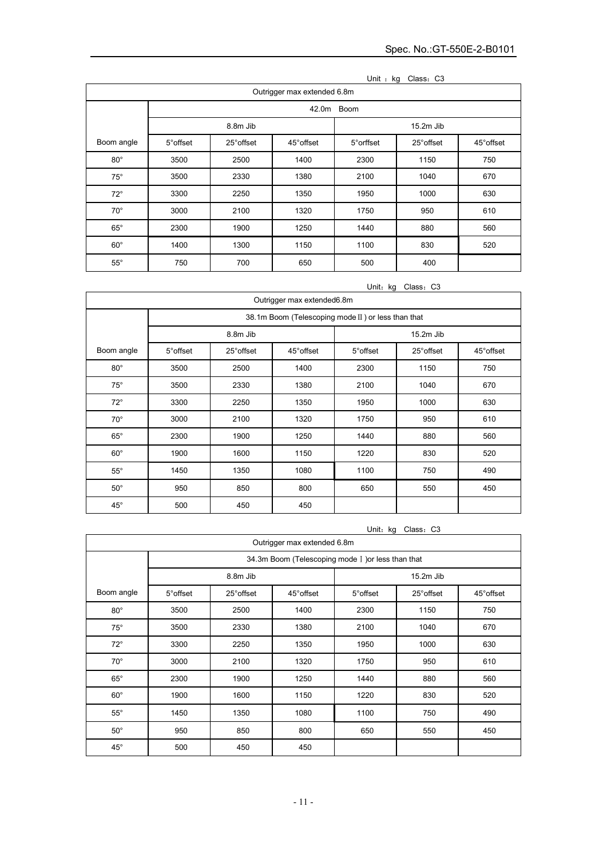|              | UNII: KG<br>Class: C3<br>Outrigger max extended 6.8m |            |            |            |            |            |  |  |  |
|--------------|------------------------------------------------------|------------|------------|------------|------------|------------|--|--|--|
|              |                                                      | 42.0m Boom |            |            |            |            |  |  |  |
|              |                                                      | 8.8m Jib   |            |            | 15.2m Jib  |            |  |  |  |
| Boom angle   | 5° offset                                            | 25° offset | 45° offset | 5° orffset | 25° offset | 45° offset |  |  |  |
| $80^\circ$   | 3500                                                 | 2500       | 1400       | 2300       | 1150       | 750        |  |  |  |
| $75^\circ$   | 3500                                                 | 2330       | 1380       | 2100       | 1040       | 670        |  |  |  |
| $72^\circ$   | 3300                                                 | 2250       | 1350       | 1950       | 1000       | 630        |  |  |  |
| $70^{\circ}$ | 3000                                                 | 2100       | 1320       | 1750       | 950        | 610        |  |  |  |
| $65^{\circ}$ | 2300                                                 | 1900       | 1250       | 1440       | 880        | 560        |  |  |  |
| $60^{\circ}$ | 1400                                                 | 1300       | 1150       | 1100       | 830        | 520        |  |  |  |
| $55^{\circ}$ | 750                                                  | 700        | 650        | 500        | 400        |            |  |  |  |

| Unit : kg |  | Class: C3 |  |
|-----------|--|-----------|--|
|-----------|--|-----------|--|

Unit: kg Class: C3

| Outrigger max extended6.8m |                                                    |            |            |             |            |            |  |
|----------------------------|----------------------------------------------------|------------|------------|-------------|------------|------------|--|
|                            | 38.1m Boom (Telescoping mode II) or less than that |            |            |             |            |            |  |
|                            | 8.8m Jib                                           |            |            | $15.2m$ Jib |            |            |  |
| Boom angle                 | 5° offset                                          | 25° offset | 45° offset | 5° offset   | 25° offset | 45° offset |  |
| $80^\circ$                 | 3500                                               | 2500       | 1400       | 2300        | 1150       | 750        |  |
| $75^\circ$                 | 3500                                               | 2330       | 1380       | 2100        | 1040       | 670        |  |
| $72^\circ$                 | 3300                                               | 2250       | 1350       | 1950        | 1000       | 630        |  |
| $70^{\circ}$               | 3000                                               | 2100       | 1320       | 1750        | 950        | 610        |  |
| $65^\circ$                 | 2300                                               | 1900       | 1250       | 1440        | 880        | 560        |  |
| $60^\circ$                 | 1900                                               | 1600       | 1150       | 1220        | 830        | 520        |  |
| $55^{\circ}$               | 1450                                               | 1350       | 1080       | 1100        | 750        | 490        |  |
| $50^{\circ}$               | 950                                                | 850        | 800        | 650         | 550        | 450        |  |
| $45^{\circ}$               | 500                                                | 450        | 450        |             |            |            |  |

 $\mathbf{r}$ 

|              | Unit: kg<br>Class: C3                              |            |                             |           |            |            |  |  |
|--------------|----------------------------------------------------|------------|-----------------------------|-----------|------------|------------|--|--|
|              |                                                    |            | Outrigger max extended 6.8m |           |            |            |  |  |
|              | 34.3m Boom (Telescoping mode I ) or less than that |            |                             |           |            |            |  |  |
|              |                                                    | 8.8m Jib   |                             | 15.2m Jib |            |            |  |  |
| Boom angle   | 5° offset                                          | 25° offset | 45° offset                  | 5° offset | 25° offset | 45° offset |  |  |
| $80^{\circ}$ | 3500                                               | 2500       | 1400                        | 2300      | 1150       | 750        |  |  |
| $75^\circ$   | 3500                                               | 2330       | 1380                        | 2100      | 1040       | 670        |  |  |
| $72^\circ$   | 3300                                               | 2250       | 1350                        | 1950      | 1000       | 630        |  |  |
| $70^{\circ}$ | 3000                                               | 2100       | 1320                        | 1750      | 950        | 610        |  |  |
| $65^{\circ}$ | 2300                                               | 1900       | 1250                        | 1440      | 880        | 560        |  |  |
| $60^{\circ}$ | 1900                                               | 1600       | 1150                        | 1220      | 830        | 520        |  |  |
| $55^{\circ}$ | 1450                                               | 1350       | 1080                        | 1100      | 750        | 490        |  |  |
| $50^{\circ}$ | 950                                                | 850        | 800                         | 650       | 550        | 450        |  |  |
| $45^{\circ}$ | 500                                                | 450        | 450                         |           |            |            |  |  |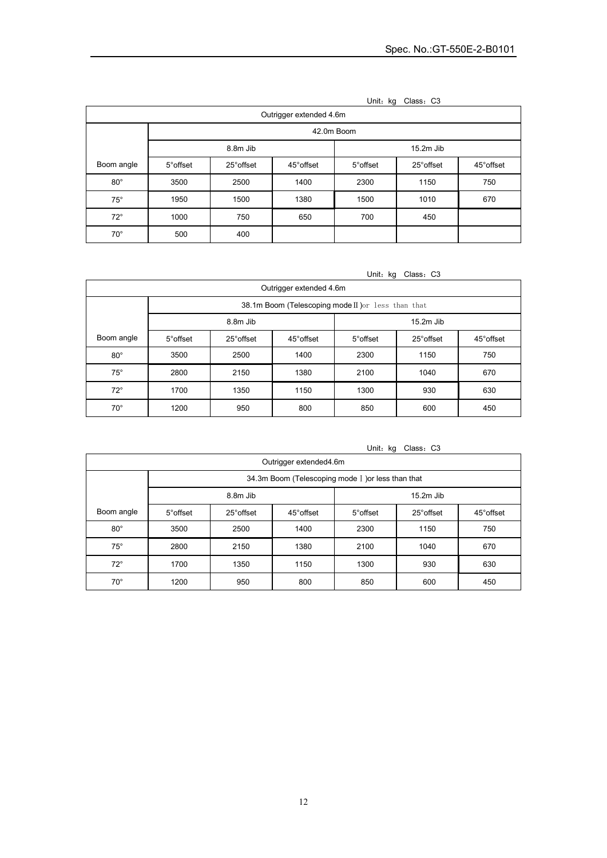| , איייס<br>onavu. vu    |                         |            |            |           |            |            |  |  |
|-------------------------|-------------------------|------------|------------|-----------|------------|------------|--|--|
| Outrigger extended 4.6m |                         |            |            |           |            |            |  |  |
|                         | 42.0m Boom              |            |            |           |            |            |  |  |
|                         | 8.8m Jib<br>$15.2m$ Jib |            |            |           |            |            |  |  |
| Boom angle              | 5° offset               | 25° offset | 45° offset | 5° offset | 25° offset | 45° offset |  |  |
| $80^{\circ}$            | 3500                    | 2500       | 1400       | 2300      | 1150       | 750        |  |  |
| $75^\circ$              | 1950                    | 1500       | 1380       | 1500      | 1010       | 670        |  |  |
| $72^\circ$              | 1000                    | 750        | 650        | 700       | 450        |            |  |  |
| $70^{\circ}$            | 500                     | 400        |            |           |            |            |  |  |

| Unit: kg | Class: C3 |  |
|----------|-----------|--|
|----------|-----------|--|

Unit: kg Class: C3

| Outrigger extended 4.6m |                         |                                                    |            |           |            |            |  |  |
|-------------------------|-------------------------|----------------------------------------------------|------------|-----------|------------|------------|--|--|
|                         |                         | 38.1m Boom (Telescoping mode II) or less than that |            |           |            |            |  |  |
|                         | 8.8m Jib<br>$15.2m$ Jib |                                                    |            |           |            |            |  |  |
| Boom angle              | 5° offset               | 25° offset                                         | 45° offset | 5° offset | 25° offset | 45° offset |  |  |
| $80^{\circ}$            | 3500                    | 2500                                               | 1400       | 2300      | 1150       | 750        |  |  |
| $75^\circ$              | 2800                    | 2150                                               | 1380       | 2100      | 1040       | 670        |  |  |
| $72^{\circ}$            | 1700                    | 1350                                               | 1150       | 1300      | 930        | 630        |  |  |
| $70^{\circ}$            | 1200                    | 950                                                | 800        | 850       | 600        | 450        |  |  |

| ັ<br>Outrigger extended4.6m |                                                    |            |            |           |            |            |  |
|-----------------------------|----------------------------------------------------|------------|------------|-----------|------------|------------|--|
|                             | 34.3m Boom (Telescoping mode I ) or less than that |            |            |           |            |            |  |
|                             | 8.8m Jib<br>$15.2m$ Jib                            |            |            |           |            |            |  |
| Boom angle                  | 5° offset                                          | 25° offset | 45° offset | 5° offset | 25° offset | 45° offset |  |
| $80^{\circ}$                | 3500                                               | 2500       | 1400       | 2300      | 1150       | 750        |  |
| $75^\circ$                  | 2800                                               | 2150       | 1380       | 2100      | 1040       | 670        |  |
| $72^{\circ}$                | 1700                                               | 1350       | 1150       | 1300      | 930        | 630        |  |
| $70^{\circ}$                | 1200                                               | 950        | 800        | 850       | 600        | 450        |  |

## Unit: kg Class: C3